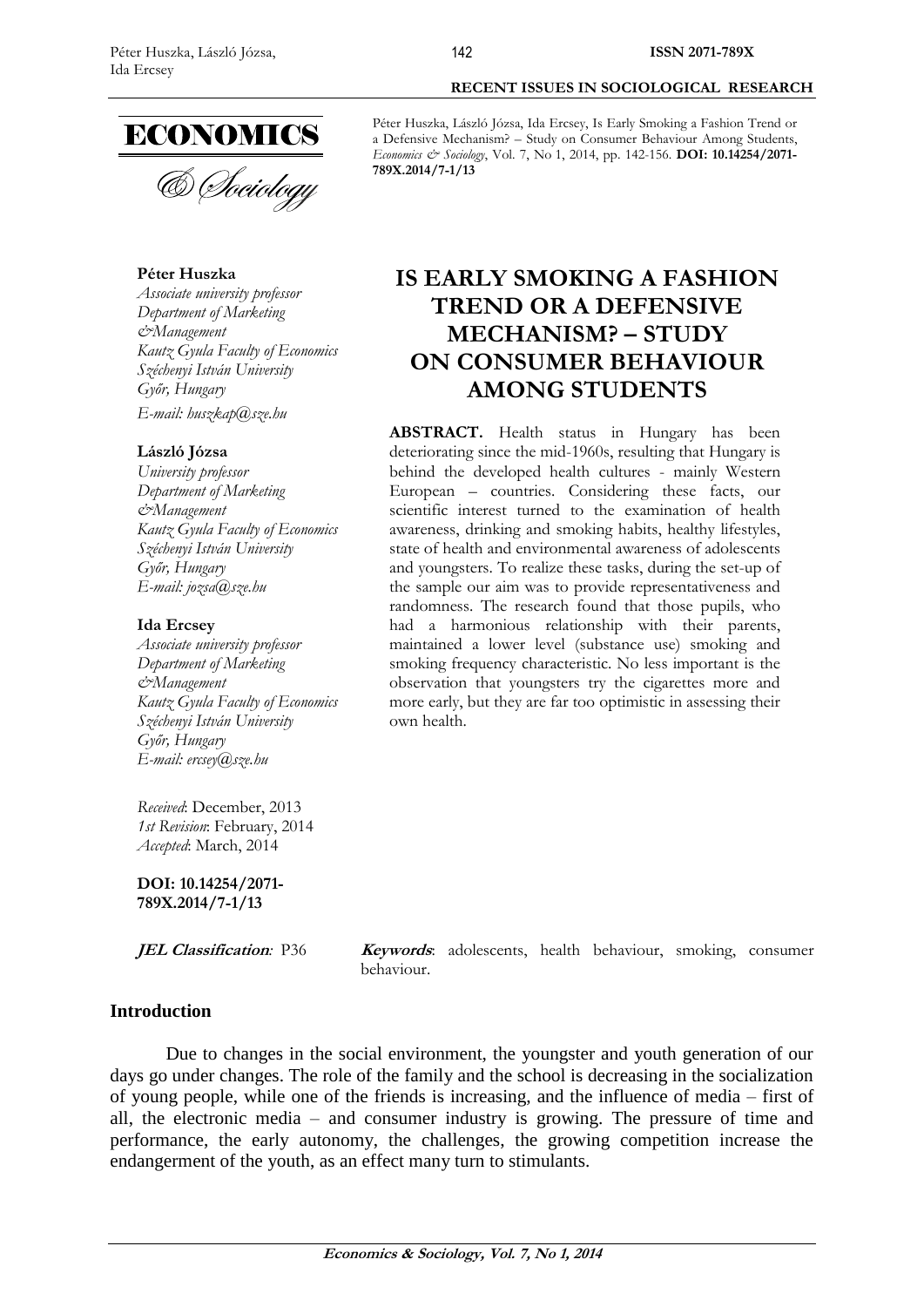

**Péter Huszka**

*Associate university professor Department of Marketing &Management Kautz Gyula Faculty of Economics Széchenyi István University Győr, Hungary E-mail: [huszkap@sze.hu](mailto:huszkap@sze.hu)*

### **László Józsa**

*University professor Department of Marketing &Management Kautz Gyula Faculty of Economics Széchenyi István University Győr, Hungary E-mail: [jozsa@sze.hu](mailto:jozsa@sze.hu)*

#### **Ida Ercsey**

*Associate university professor Department of Marketing &Management Kautz Gyula Faculty of Economics Széchenyi István University Győr, Hungary E-mail: [ercsey@sze.hu](mailto:ercsey@sze.hu)*

*Received*: December, 2013 *1st Revision*: February, 2014 *Accepted*: March, 2014

**DOI: 10.14254/2071- 789X.2014/7-1/13**

**JEL Classification:** P36 **Keywords**: adolescents, health behaviour, smoking, consumer behaviour.

### **Introduction**

Due to changes in the social environment, the youngster and youth generation of our days go under changes. The role of the family and the school is decreasing in the socialization of young people, while one of the friends is increasing, and the influence of media – first of all, the electronic media – and consumer industry is growing. The pressure of time and performance, the early autonomy, the challenges, the growing competition increase the endangerment of the youth, as an effect many turn to stimulants.

**RECENT ISSUES IN SOCIOLOGICAL RESEARCH**

Péter Huszka, László Józsa, Ida Ercsey, Is Early Smoking a Fashion Trend or a Defensive Mechanism? – Study on Consumer Behaviour Among Students, *Economics & Sociology*, Vol. 7, No 1, 2014, pp. 142-156. **DOI: 10.14254/2071- 789X.2014/7-1/13**

# **IS EARLY SMOKING A FASHION TREND OR A DEFENSIVE MECHANISM? – STUDY ON CONSUMER BEHAVIOUR AMONG STUDENTS**

**ABSTRACT.** Health status in Hungary has been deteriorating since the mid-1960s, resulting that Hungary is behind the developed health cultures - mainly Western European – countries. Considering these facts, our scientific interest turned to the examination of health awareness, drinking and smoking habits, healthy lifestyles, state of health and environmental awareness of adolescents and youngsters. To realize these tasks, during the set-up of the sample our aim was to provide representativeness and randomness. The research found that those pupils, who had a harmonious relationship with their parents, maintained a lower level (substance use) smoking and smoking frequency characteristic. No less important is the observation that youngsters try the cigarettes more and more early, but they are far too optimistic in assessing their own health.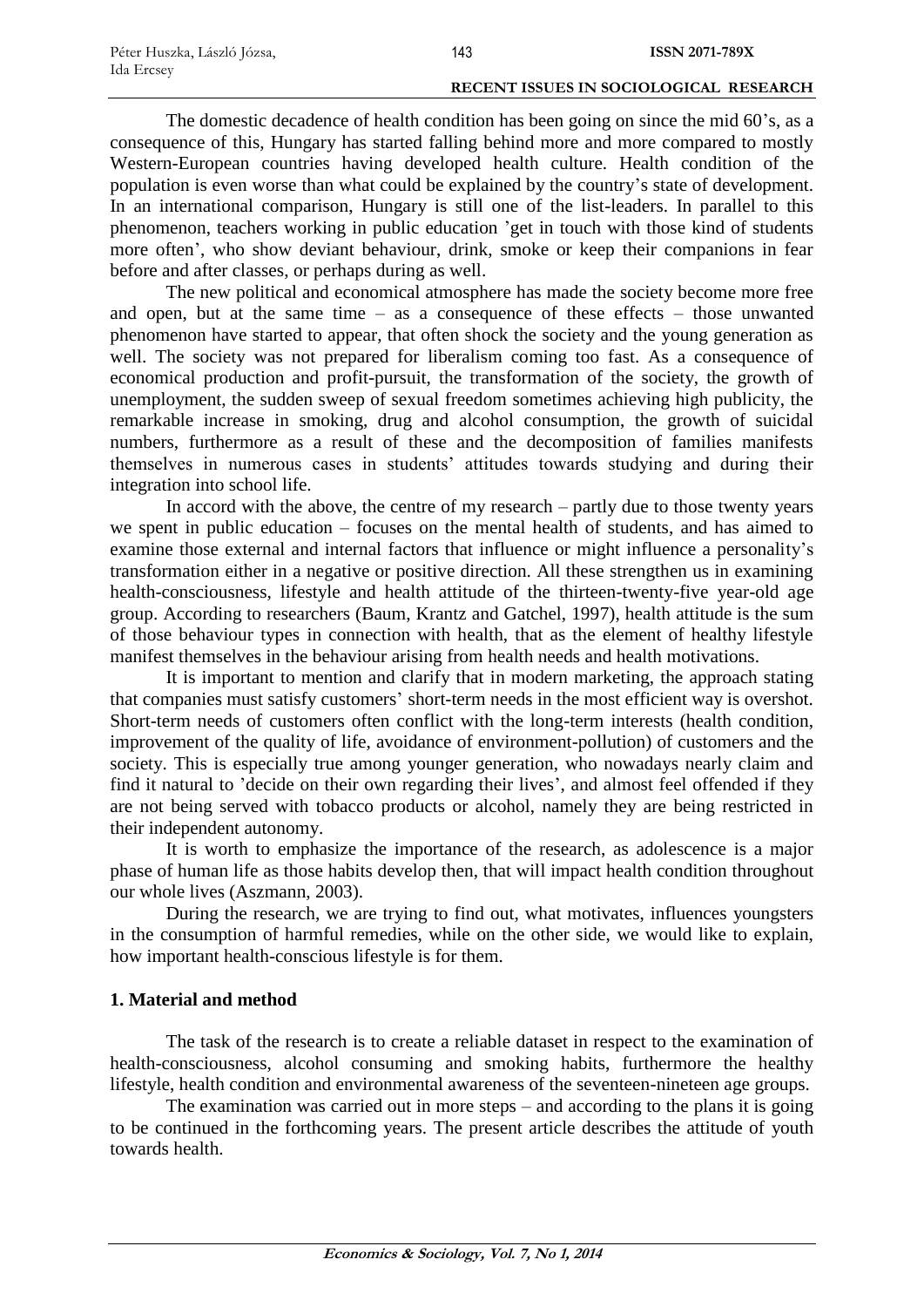The domestic decadence of health condition has been going on since the mid 60's, as a consequence of this, Hungary has started falling behind more and more compared to mostly Western-European countries having developed health culture. Health condition of the population is even worse than what could be explained by the country's state of development. In an international comparison, Hungary is still one of the list-leaders. In parallel to this phenomenon, teachers working in public education 'get in touch with those kind of students more often', who show deviant behaviour, drink, smoke or keep their companions in fear before and after classes, or perhaps during as well.

The new political and economical atmosphere has made the society become more free and open, but at the same time – as a consequence of these effects – those unwanted phenomenon have started to appear, that often shock the society and the young generation as well. The society was not prepared for liberalism coming too fast. As a consequence of economical production and profit-pursuit, the transformation of the society, the growth of unemployment, the sudden sweep of sexual freedom sometimes achieving high publicity, the remarkable increase in smoking, drug and alcohol consumption, the growth of suicidal numbers, furthermore as a result of these and the decomposition of families manifests themselves in numerous cases in students' attitudes towards studying and during their integration into school life.

In accord with the above, the centre of my research – partly due to those twenty years we spent in public education – focuses on the mental health of students, and has aimed to examine those external and internal factors that influence or might influence a personality's transformation either in a negative or positive direction. All these strengthen us in examining health-consciousness, lifestyle and health attitude of the thirteen-twenty-five year-old age group. According to researchers (Baum, Krantz and Gatchel, 1997), health attitude is the sum of those behaviour types in connection with health, that as the element of healthy lifestyle manifest themselves in the behaviour arising from health needs and health motivations.

It is important to mention and clarify that in modern marketing, the approach stating that companies must satisfy customers' short-term needs in the most efficient way is overshot. Short-term needs of customers often conflict with the long-term interests (health condition, improvement of the quality of life, avoidance of environment-pollution) of customers and the society. This is especially true among younger generation, who nowadays nearly claim and find it natural to 'decide on their own regarding their lives', and almost feel offended if they are not being served with tobacco products or alcohol, namely they are being restricted in their independent autonomy.

It is worth to emphasize the importance of the research, as adolescence is a major phase of human life as those habits develop then, that will impact health condition throughout our whole lives (Aszmann, 2003).

During the research, we are trying to find out, what motivates, influences youngsters in the consumption of harmful remedies, while on the other side, we would like to explain, how important health-conscious lifestyle is for them.

### **1. Material and method**

The task of the research is to create a reliable dataset in respect to the examination of health-consciousness, alcohol consuming and smoking habits, furthermore the healthy lifestyle, health condition and environmental awareness of the seventeen-nineteen age groups.

The examination was carried out in more steps – and according to the plans it is going to be continued in the forthcoming years. The present article describes the attitude of youth towards health.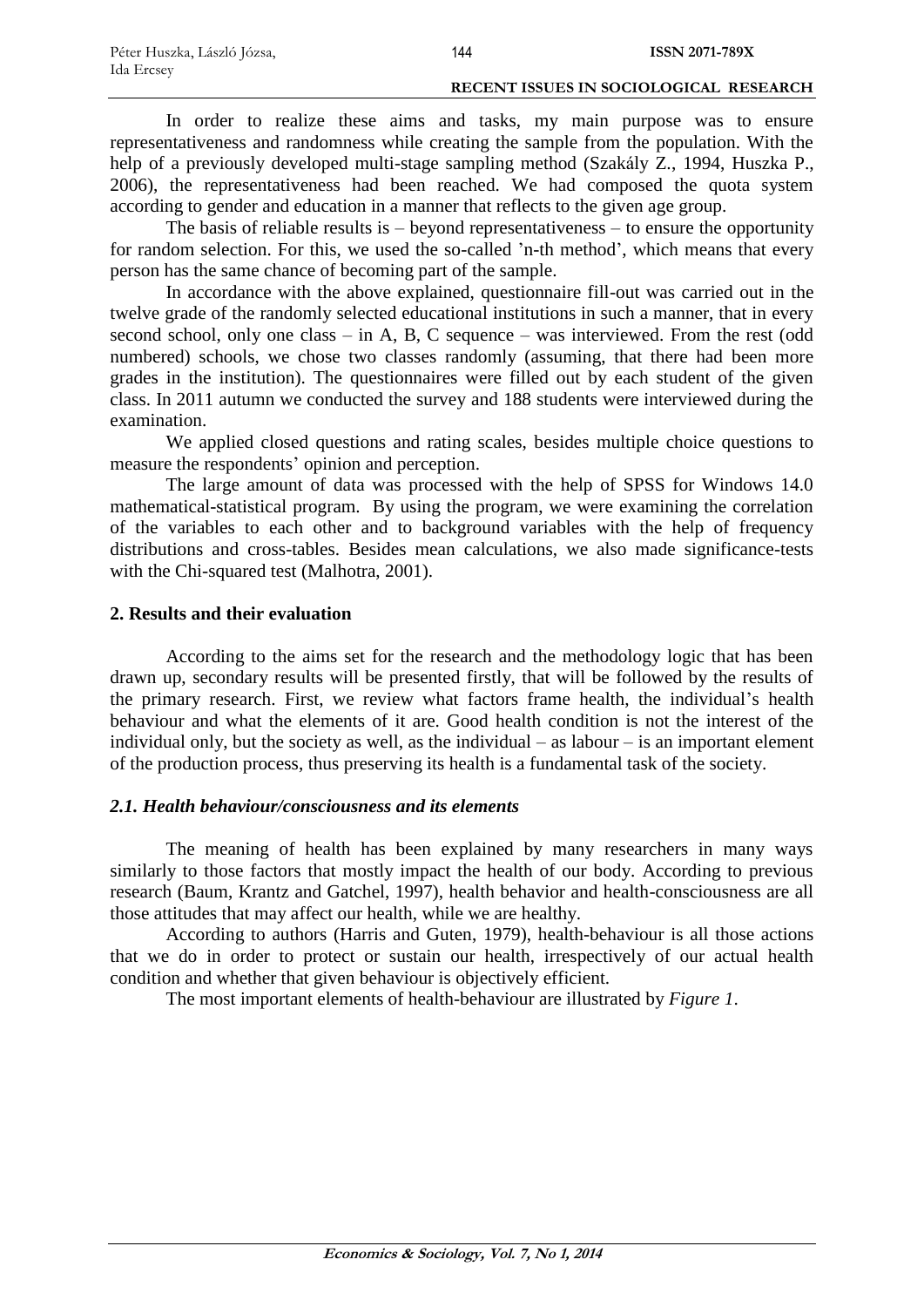In order to realize these aims and tasks, my main purpose was to ensure representativeness and randomness while creating the sample from the population. With the help of a previously developed multi-stage sampling method (Szakály Z., 1994, Huszka P., 2006), the representativeness had been reached. We had composed the quota system according to gender and education in a manner that reflects to the given age group.

The basis of reliable results is  $-$  beyond representativeness  $-$  to ensure the opportunity for random selection. For this, we used the so-called 'n-th method', which means that every person has the same chance of becoming part of the sample.

In accordance with the above explained, questionnaire fill-out was carried out in the twelve grade of the randomly selected educational institutions in such a manner, that in every second school, only one class – in A, B, C sequence – was interviewed. From the rest (odd numbered) schools, we chose two classes randomly (assuming, that there had been more grades in the institution). The questionnaires were filled out by each student of the given class. In 2011 autumn we conducted the survey and 188 students were interviewed during the examination.

We applied closed questions and rating scales, besides multiple choice questions to measure the respondents' opinion and perception.

The large amount of data was processed with the help of SPSS for Windows 14.0 mathematical-statistical program. By using the program, we were examining the correlation of the variables to each other and to background variables with the help of frequency distributions and cross-tables. Besides mean calculations, we also made significance-tests with the Chi-squared test (Malhotra, 2001).

### **2. Results and their evaluation**

According to the aims set for the research and the methodology logic that has been drawn up, secondary results will be presented firstly, that will be followed by the results of the primary research. First, we review what factors frame health, the individual's health behaviour and what the elements of it are. Good health condition is not the interest of the individual only, but the society as well, as the individual – as labour – is an important element of the production process, thus preserving its health is a fundamental task of the society.

# *2.1. Health behaviour/consciousness and its elements*

The meaning of health has been explained by many researchers in many ways similarly to those factors that mostly impact the health of our body. According to previous research (Baum, Krantz and Gatchel, 1997), health behavior and health-consciousness are all those attitudes that may affect our health, while we are healthy.

According to authors (Harris and Guten, 1979), health-behaviour is all those actions that we do in order to protect or sustain our health, irrespectively of our actual health condition and whether that given behaviour is objectively efficient.

The most important elements of health-behaviour are illustrated by *Figure 1*.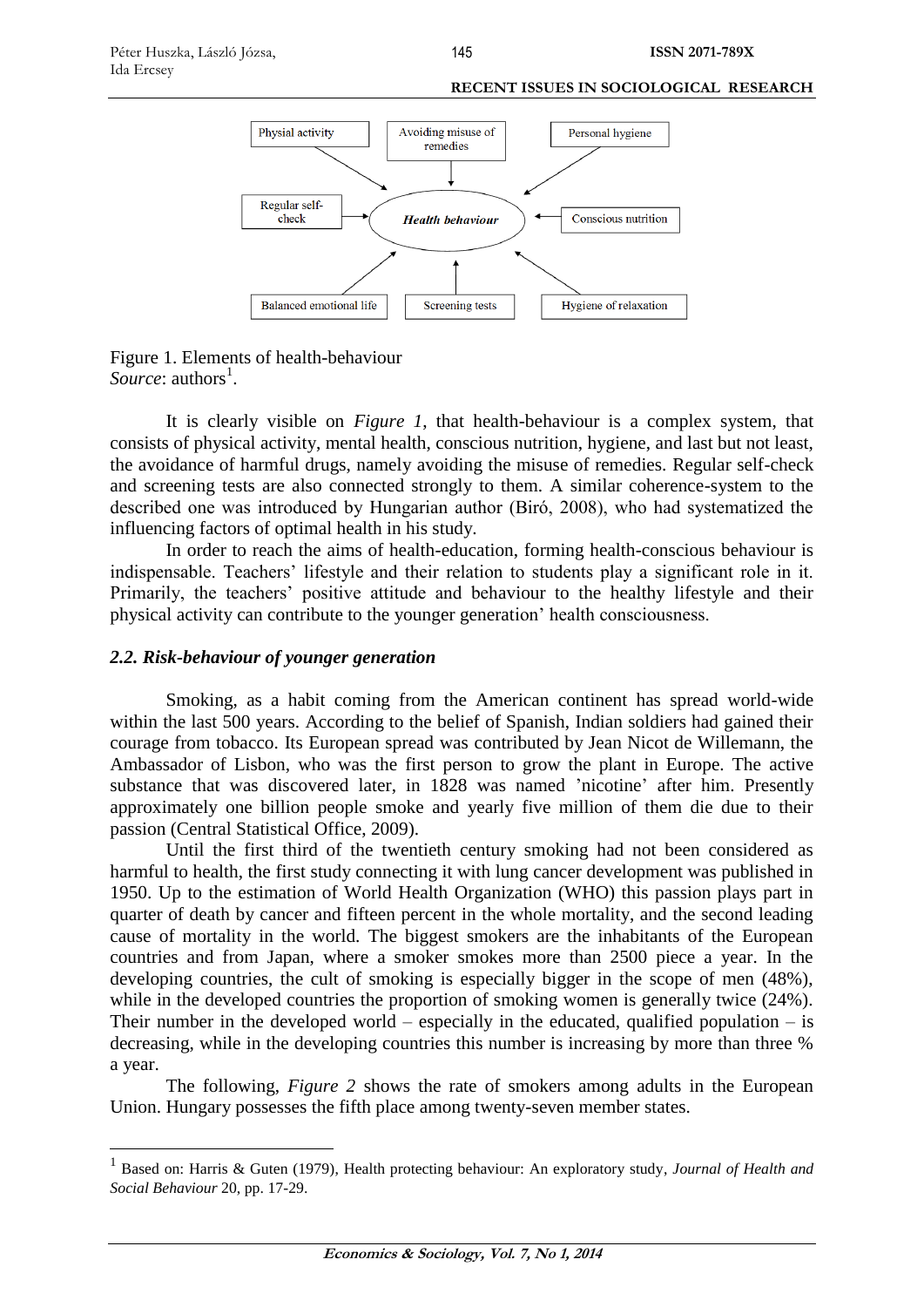

Figure 1. Elements of health-behaviour Source: authors<sup>1</sup>.

It is clearly visible on *Figure 1*, that health-behaviour is a complex system, that consists of physical activity, mental health, conscious nutrition, hygiene, and last but not least, the avoidance of harmful drugs, namely avoiding the misuse of remedies. Regular self-check and screening tests are also connected strongly to them. A similar coherence-system to the described one was introduced by Hungarian author (Biró, 2008), who had systematized the influencing factors of optimal health in his study.

In order to reach the aims of health-education, forming health-conscious behaviour is indispensable. Teachers' lifestyle and their relation to students play a significant role in it. Primarily, the teachers' positive attitude and behaviour to the healthy lifestyle and their physical activity can contribute to the younger generation' health consciousness.

### *2.2. Risk-behaviour of younger generation*

 $\overline{a}$ 

Smoking, as a habit coming from the American continent has spread world-wide within the last 500 years. According to the belief of Spanish, Indian soldiers had gained their courage from tobacco. Its European spread was contributed by Jean Nicot de Willemann, the Ambassador of Lisbon, who was the first person to grow the plant in Europe. The active substance that was discovered later, in 1828 was named 'nicotine' after him. Presently approximately one billion people smoke and yearly five million of them die due to their passion (Central Statistical Office, 2009).

Until the first third of the twentieth century smoking had not been considered as harmful to health, the first study connecting it with lung cancer development was published in 1950. Up to the estimation of World Health Organization (WHO) this passion plays part in quarter of death by cancer and fifteen percent in the whole mortality, and the second leading cause of mortality in the world. The biggest smokers are the inhabitants of the European countries and from Japan, where a smoker smokes more than 2500 piece a year. In the developing countries, the cult of smoking is especially bigger in the scope of men (48%), while in the developed countries the proportion of smoking women is generally twice  $(24%)$ . Their number in the developed world – especially in the educated, qualified population – is decreasing, while in the developing countries this number is increasing by more than three % a year.

The following, *Figure 2* shows the rate of smokers among adults in the European Union. Hungary possesses the fifth place among twenty-seven member states.

<sup>1</sup> Based on: Harris & Guten (1979), Health protecting behaviour: An exploratory study, *Journal of Health and Social Behaviour* 20, pp. 17-29.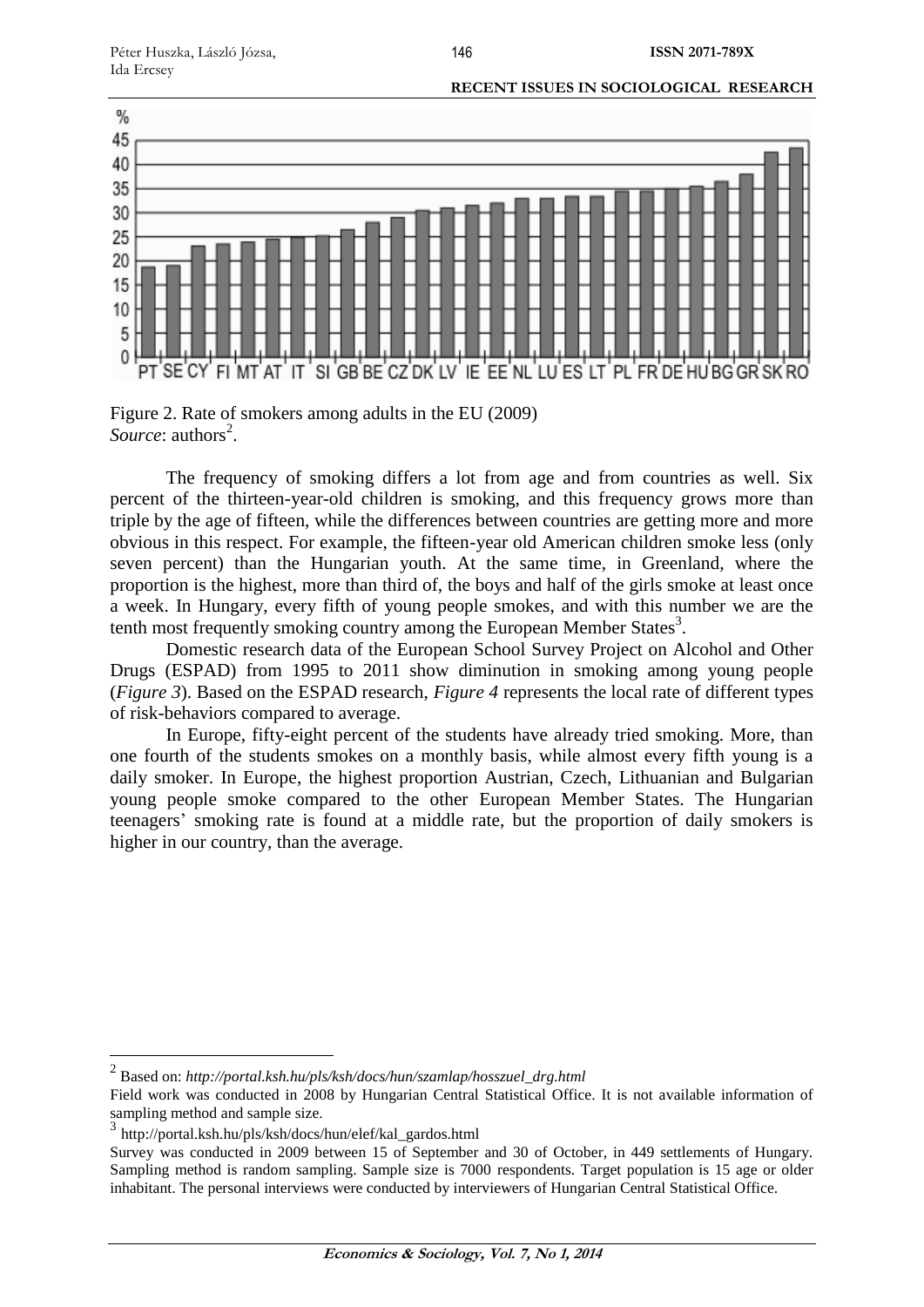



The frequency of smoking differs a lot from age and from countries as well. Six percent of the thirteen-year-old children is smoking, and this frequency grows more than triple by the age of fifteen, while the differences between countries are getting more and more obvious in this respect. For example, the fifteen-year old American children smoke less (only seven percent) than the Hungarian youth. At the same time, in Greenland, where the proportion is the highest, more than third of, the boys and half of the girls smoke at least once a week. In Hungary, every fifth of young people smokes, and with this number we are the tenth most frequently smoking country among the European Member States<sup>3</sup>.

Domestic research data of the European School Survey Project on Alcohol and Other Drugs (ESPAD) from 1995 to 2011 show diminution in smoking among young people (*Figure 3*). Based on the ESPAD research, *Figure 4* represents the local rate of different types of risk-behaviors compared to average.

In Europe, fifty-eight percent of the students have already tried smoking. More, than one fourth of the students smokes on a monthly basis, while almost every fifth young is a daily smoker. In Europe, the highest proportion Austrian, Czech, Lithuanian and Bulgarian young people smoke compared to the other European Member States. The Hungarian teenagers' smoking rate is found at a middle rate, but the proportion of daily smokers is higher in our country, than the average.

 $\overline{a}$ 

146

<sup>2</sup> Based on: *[http://portal.ksh.hu/pls/ksh/docs/hun/szamlap/hosszuel\\_drg.html](http://portal.ksh.hu/pls/ksh/docs/hun/szamlap/hosszuel_drg.html)*

Field work was conducted in 2008 by Hungarian Central Statistical Office. It is not available information of sampling method and sample size.

<sup>3</sup> [http://portal.ksh.hu/pls/ksh/docs/hun/elef/kal\\_gardos.html](http://portal.ksh.hu/pls/ksh/docs/hun/elef/kal_gardos.html)

Survey was conducted in 2009 between 15 of September and 30 of October, in 449 settlements of Hungary. Sampling method is random sampling. Sample size is 7000 respondents. Target population is 15 age or older inhabitant. The personal interviews were conducted by interviewers of Hungarian Central Statistical Office.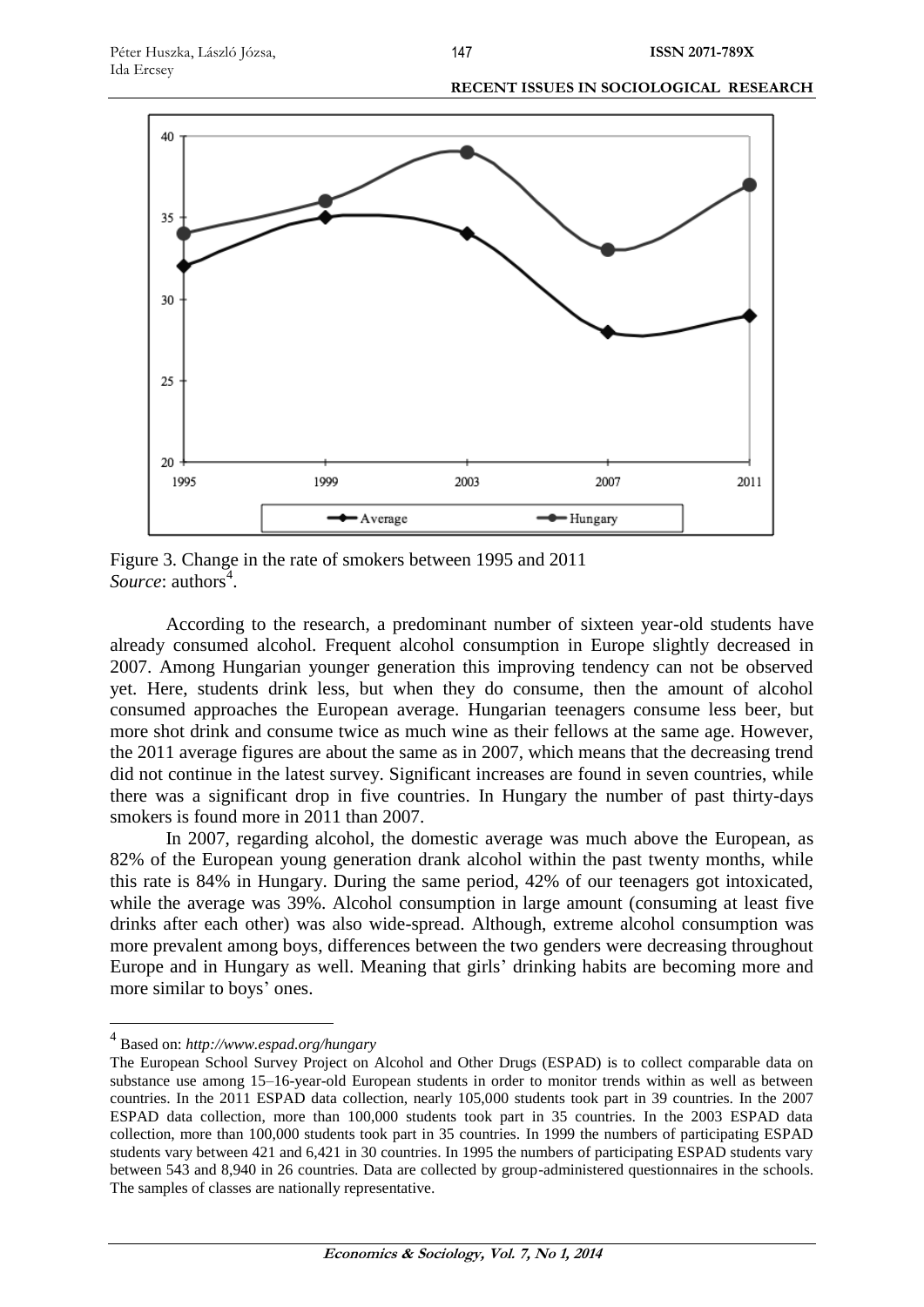

Figure 3. Change in the rate of smokers between 1995 and 2011 Source: authors<sup>4</sup>.

According to the research, a predominant number of sixteen year-old students have already consumed alcohol. Frequent alcohol consumption in Europe slightly decreased in 2007. Among Hungarian younger generation this improving tendency can not be observed yet. Here, students drink less, but when they do consume, then the amount of alcohol consumed approaches the European average. Hungarian teenagers consume less beer, but more shot drink and consume twice as much wine as their fellows at the same age. However, the 2011 average figures are about the same as in 2007, which means that the decreasing trend did not continue in the latest survey. Significant increases are found in seven countries, while there was a significant drop in five countries. In Hungary the number of past thirty-days smokers is found more in 2011 than 2007.

In 2007, regarding alcohol, the domestic average was much above the European, as 82% of the European young generation drank alcohol within the past twenty months, while this rate is 84% in Hungary. During the same period, 42% of our teenagers got intoxicated, while the average was 39%. Alcohol consumption in large amount (consuming at least five drinks after each other) was also wide-spread. Although, extreme alcohol consumption was more prevalent among boys, differences between the two genders were decreasing throughout Europe and in Hungary as well. Meaning that girls' drinking habits are becoming more and more similar to boys' ones.

 $\overline{a}$ 

<sup>4</sup> Based on: *<http://www.espad.org/hungary>*

The European School Survey Project on Alcohol and Other Drugs (ESPAD) is to collect comparable data on substance use among 15–16-year-old European students in order to monitor trends within as well as between countries. In the 2011 ESPAD data collection, nearly 105,000 students took part in 39 countries. In the 2007 ESPAD data collection, more than 100,000 students took part in 35 countries. In the 2003 ESPAD data collection, more than 100,000 students took part in 35 countries. In 1999 the numbers of participating ESPAD students vary between 421 and 6,421 in 30 countries. In 1995 the numbers of participating ESPAD students vary between 543 and 8,940 in 26 countries. Data are collected by group-administered questionnaires in the schools. The samples of classes are nationally representative.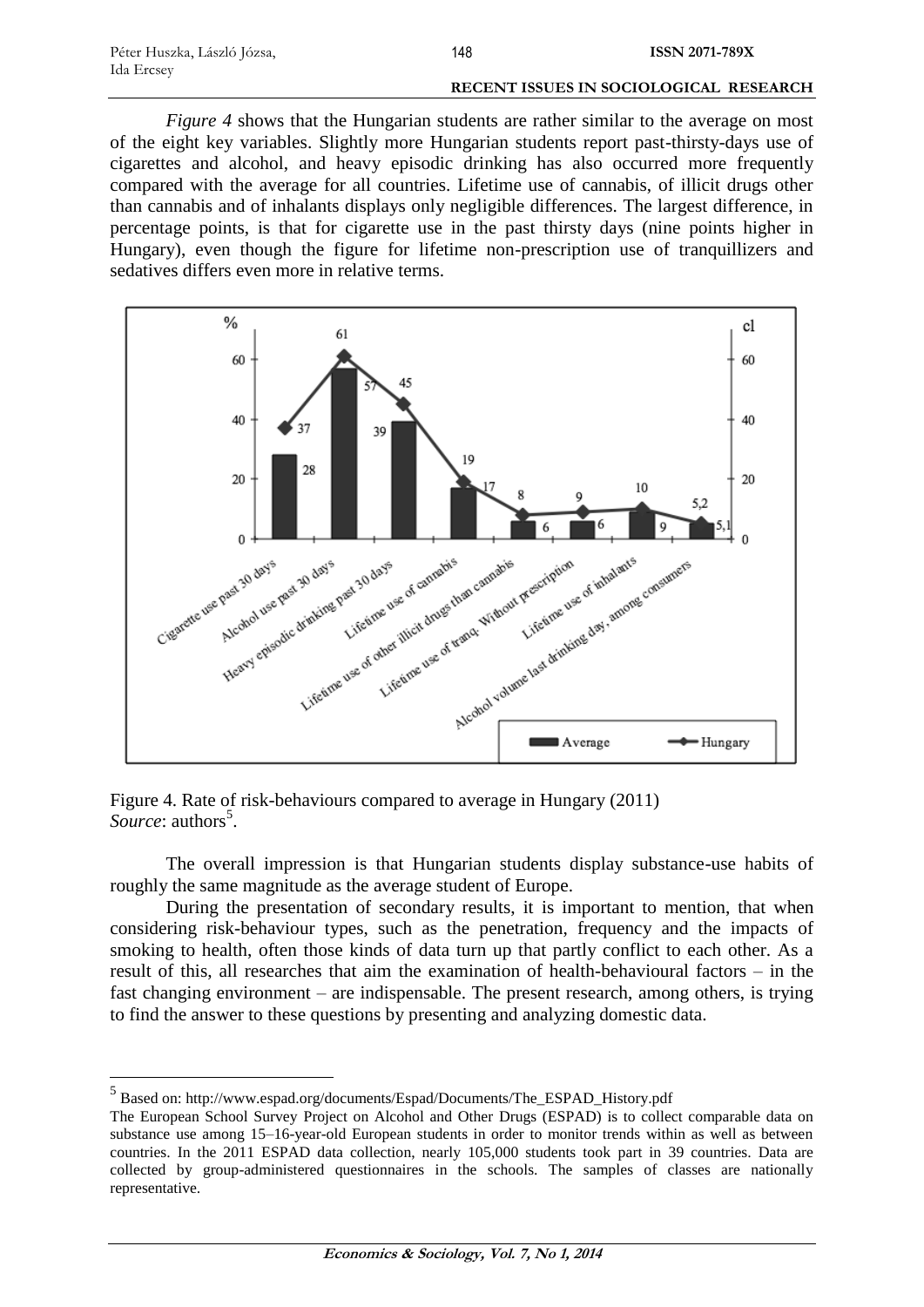*Figure 4* shows that the Hungarian students are rather similar to the average on most of the eight key variables. Slightly more Hungarian students report past-thirsty-days use of cigarettes and alcohol, and heavy episodic drinking has also occurred more frequently compared with the average for all countries. Lifetime use of cannabis, of illicit drugs other than cannabis and of inhalants displays only negligible differences. The largest difference, in percentage points, is that for cigarette use in the past thirsty days (nine points higher in Hungary), even though the figure for lifetime non-prescription use of tranquillizers and sedatives differs even more in relative terms.





The overall impression is that Hungarian students display substance-use habits of roughly the same magnitude as the average student of Europe.

During the presentation of secondary results, it is important to mention, that when considering risk-behaviour types, such as the penetration, frequency and the impacts of smoking to health, often those kinds of data turn up that partly conflict to each other. As a result of this, all researches that aim the examination of health-behavioural factors – in the fast changing environment – are indispensable. The present research, among others, is trying to find the answer to these questions by presenting and analyzing domestic data.

 $\overline{a}$ 

<sup>5</sup> Based on[: http://www.espad.org/documents/Espad/Documents/The\\_ESPAD\\_History.pdf](http://www.espad.org/documents/espad/documents/the_espad_history.pdf)

The European School Survey Project on Alcohol and Other Drugs (ESPAD) is to collect comparable data on substance use among 15–16-year-old European students in order to monitor trends within as well as between countries. In the 2011 ESPAD data collection, nearly 105,000 students took part in 39 countries. Data are collected by group-administered questionnaires in the schools. The samples of classes are nationally representative.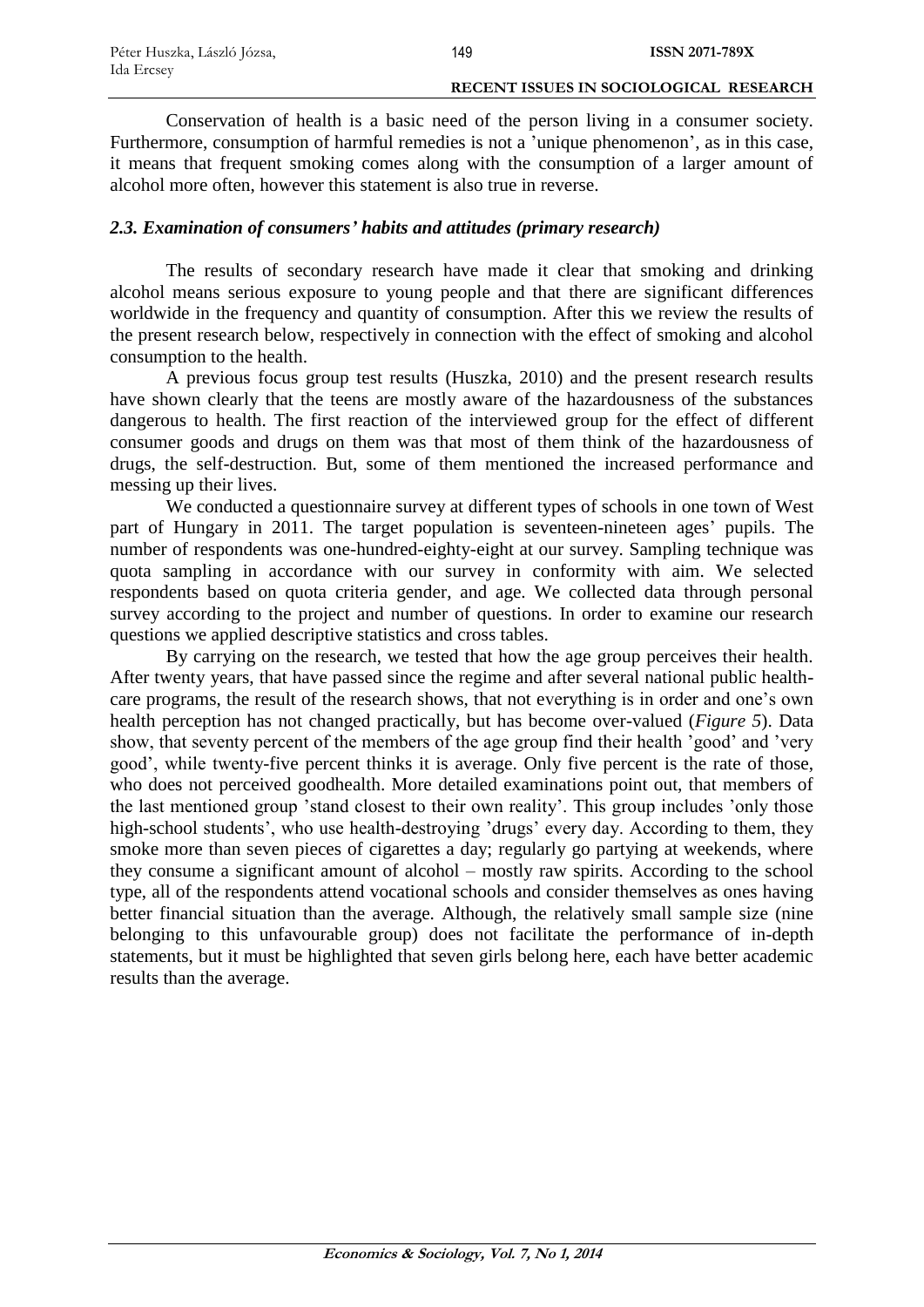Conservation of health is a basic need of the person living in a consumer society. Furthermore, consumption of harmful remedies is not a 'unique phenomenon', as in this case, it means that frequent smoking comes along with the consumption of a larger amount of alcohol more often, however this statement is also true in reverse.

# *2.3. Examination of consumers' habits and attitudes (primary research)*

The results of secondary research have made it clear that smoking and drinking alcohol means serious exposure to young people and that there are significant differences worldwide in the frequency and quantity of consumption. After this we review the results of the present research below, respectively in connection with the effect of smoking and alcohol consumption to the health.

A previous focus group test results (Huszka, 2010) and the present research results have shown clearly that the teens are mostly aware of the hazardousness of the substances dangerous to health. The first reaction of the interviewed group for the effect of different consumer goods and drugs on them was that most of them think of the hazardousness of drugs, the self-destruction. But, some of them mentioned the increased performance and messing up their lives.

We conducted a questionnaire survey at different types of schools in one town of West part of Hungary in 2011. The target population is seventeen-nineteen ages' pupils. The number of respondents was one-hundred-eighty-eight at our survey. Sampling technique was quota sampling in accordance with our survey in conformity with aim. We selected respondents based on quota criteria gender, and age. We collected data through personal survey according to the project and number of questions. In order to examine our research questions we applied descriptive statistics and cross tables.

By carrying on the research, we tested that how the age group perceives their health. After twenty years, that have passed since the regime and after several national public healthcare programs, the result of the research shows, that not everything is in order and one's own health perception has not changed practically, but has become over-valued (*Figure 5*). Data show, that seventy percent of the members of the age group find their health 'good' and 'very good', while twenty-five percent thinks it is average. Only five percent is the rate of those, who does not perceived goodhealth. More detailed examinations point out, that members of the last mentioned group 'stand closest to their own reality'. This group includes 'only those high-school students', who use health-destroying 'drugs' every day. According to them, they smoke more than seven pieces of cigarettes a day; regularly go partying at weekends, where they consume a significant amount of alcohol – mostly raw spirits. According to the school type, all of the respondents attend vocational schools and consider themselves as ones having better financial situation than the average. Although, the relatively small sample size (nine belonging to this unfavourable group) does not facilitate the performance of in-depth statements, but it must be highlighted that seven girls belong here, each have better academic results than the average.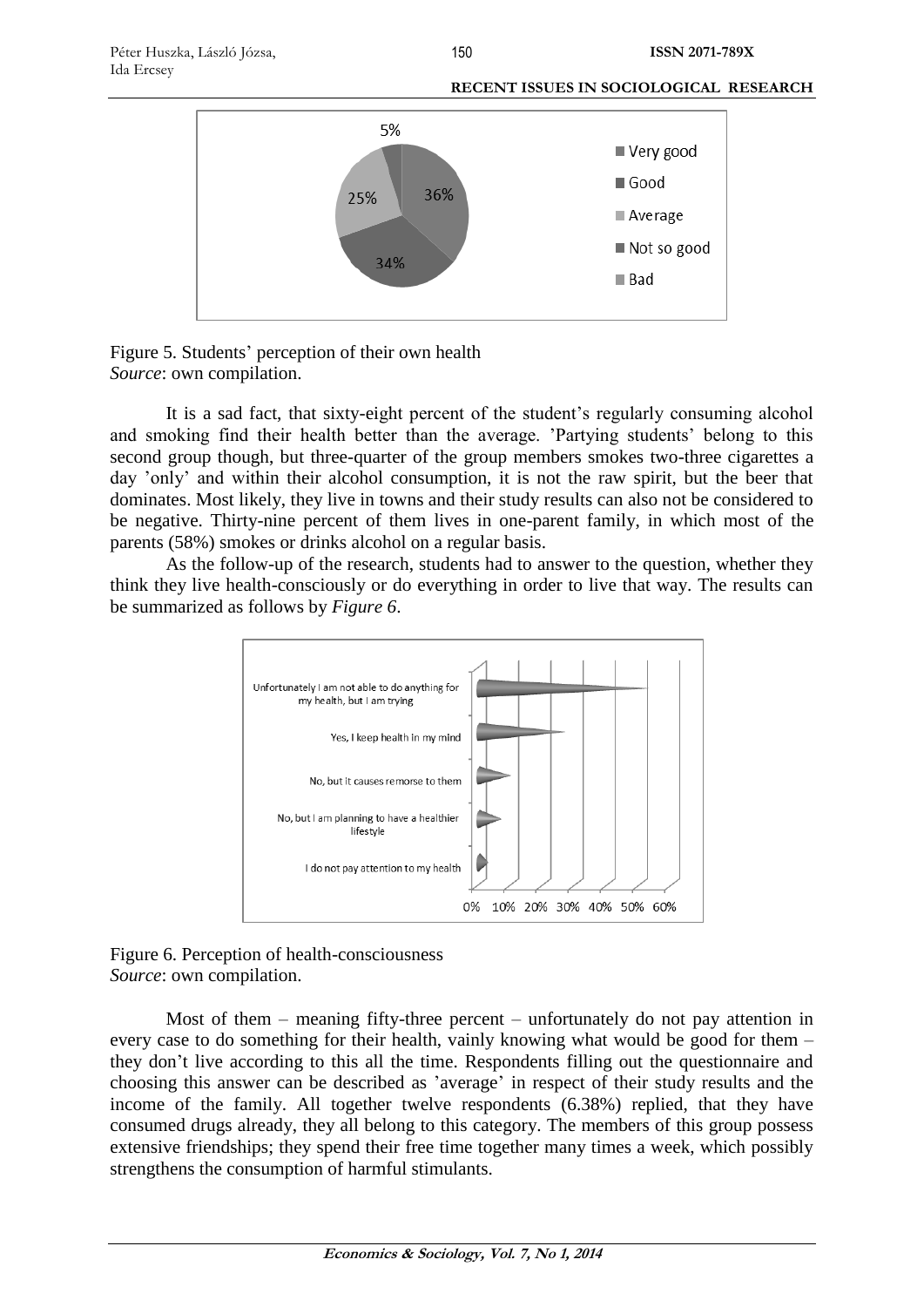

Figure 5. Students' perception of their own health *Source*: own compilation.

It is a sad fact, that sixty-eight percent of the student's regularly consuming alcohol and smoking find their health better than the average. 'Partying students' belong to this second group though, but three-quarter of the group members smokes two-three cigarettes a day 'only' and within their alcohol consumption, it is not the raw spirit, but the beer that dominates. Most likely, they live in towns and their study results can also not be considered to be negative. Thirty-nine percent of them lives in one-parent family, in which most of the parents (58%) smokes or drinks alcohol on a regular basis.

As the follow-up of the research, students had to answer to the question, whether they think they live health-consciously or do everything in order to live that way. The results can be summarized as follows by *Figure 6*.



Figure 6. Perception of health-consciousness *Source*: own compilation.

Most of them – meaning fifty-three percent – unfortunately do not pay attention in every case to do something for their health, vainly knowing what would be good for them – they don't live according to this all the time. Respondents filling out the questionnaire and choosing this answer can be described as 'average' in respect of their study results and the income of the family. All together twelve respondents (6.38%) replied, that they have consumed drugs already, they all belong to this category. The members of this group possess extensive friendships; they spend their free time together many times a week, which possibly strengthens the consumption of harmful stimulants.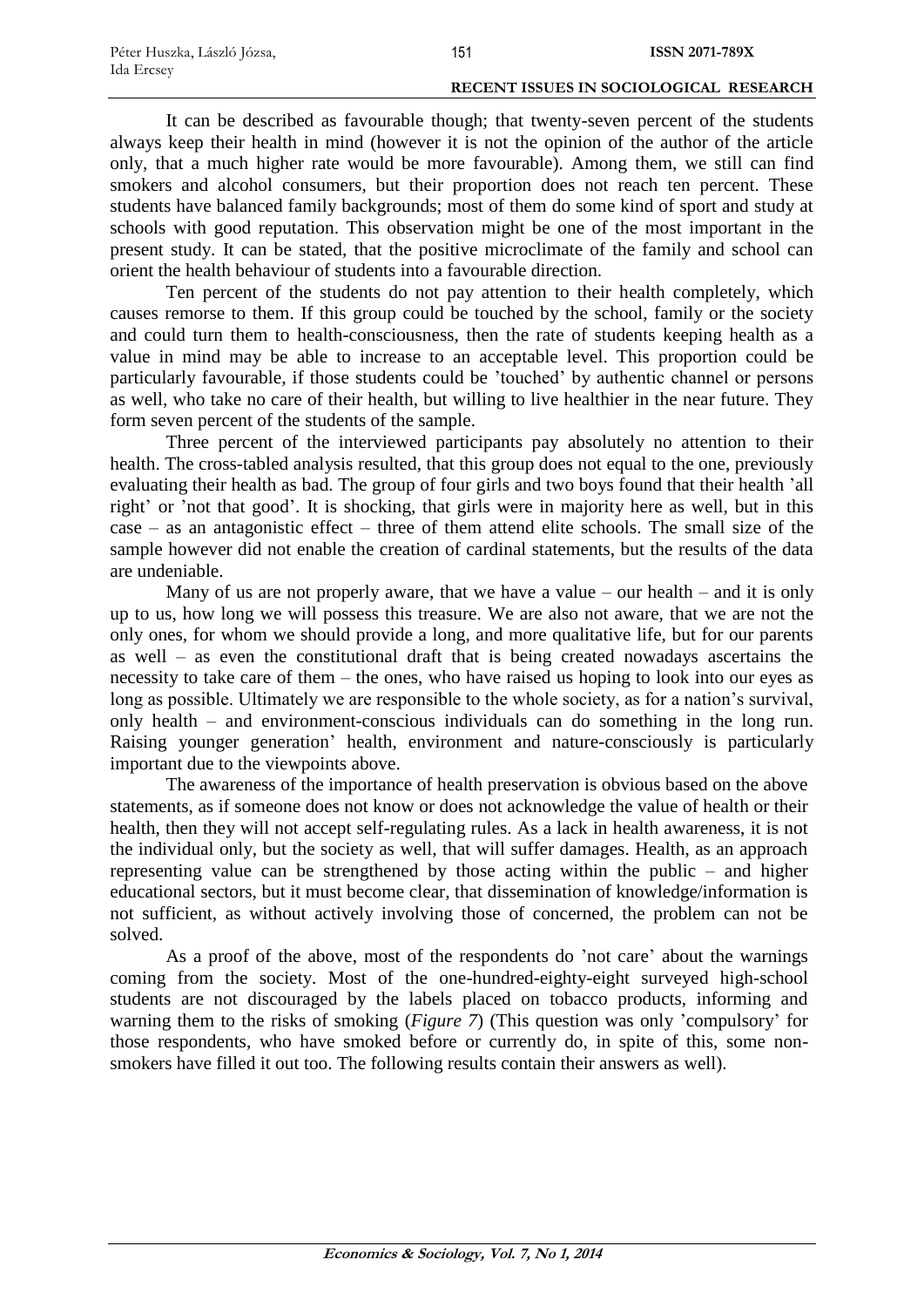It can be described as favourable though; that twenty-seven percent of the students always keep their health in mind (however it is not the opinion of the author of the article only, that a much higher rate would be more favourable). Among them, we still can find smokers and alcohol consumers, but their proportion does not reach ten percent. These students have balanced family backgrounds; most of them do some kind of sport and study at schools with good reputation. This observation might be one of the most important in the present study. It can be stated, that the positive microclimate of the family and school can orient the health behaviour of students into a favourable direction.

Ten percent of the students do not pay attention to their health completely, which causes remorse to them. If this group could be touched by the school, family or the society and could turn them to health-consciousness, then the rate of students keeping health as a value in mind may be able to increase to an acceptable level. This proportion could be particularly favourable, if those students could be 'touched' by authentic channel or persons as well, who take no care of their health, but willing to live healthier in the near future. They form seven percent of the students of the sample.

Three percent of the interviewed participants pay absolutely no attention to their health. The cross-tabled analysis resulted, that this group does not equal to the one, previously evaluating their health as bad. The group of four girls and two boys found that their health 'all right' or 'not that good'. It is shocking, that girls were in majority here as well, but in this case – as an antagonistic effect – three of them attend elite schools. The small size of the sample however did not enable the creation of cardinal statements, but the results of the data are undeniable.

Many of us are not properly aware, that we have a value – our health – and it is only up to us, how long we will possess this treasure. We are also not aware, that we are not the only ones, for whom we should provide a long, and more qualitative life, but for our parents as well – as even the constitutional draft that is being created nowadays ascertains the necessity to take care of them – the ones, who have raised us hoping to look into our eyes as long as possible. Ultimately we are responsible to the whole society, as for a nation's survival, only health – and environment-conscious individuals can do something in the long run. Raising younger generation' health, environment and nature-consciously is particularly important due to the viewpoints above.

The awareness of the importance of health preservation is obvious based on the above statements, as if someone does not know or does not acknowledge the value of health or their health, then they will not accept self-regulating rules. As a lack in health awareness, it is not the individual only, but the society as well, that will suffer damages. Health, as an approach representing value can be strengthened by those acting within the public – and higher educational sectors, but it must become clear, that dissemination of knowledge/information is not sufficient, as without actively involving those of concerned, the problem can not be solved.

As a proof of the above, most of the respondents do 'not care' about the warnings coming from the society. Most of the one-hundred-eighty-eight surveyed high-school students are not discouraged by the labels placed on tobacco products, informing and warning them to the risks of smoking (*Figure 7*) (This question was only 'compulsory' for those respondents, who have smoked before or currently do, in spite of this, some nonsmokers have filled it out too. The following results contain their answers as well).

**Economics & Sociology, Vol. 7, No 1, 2014**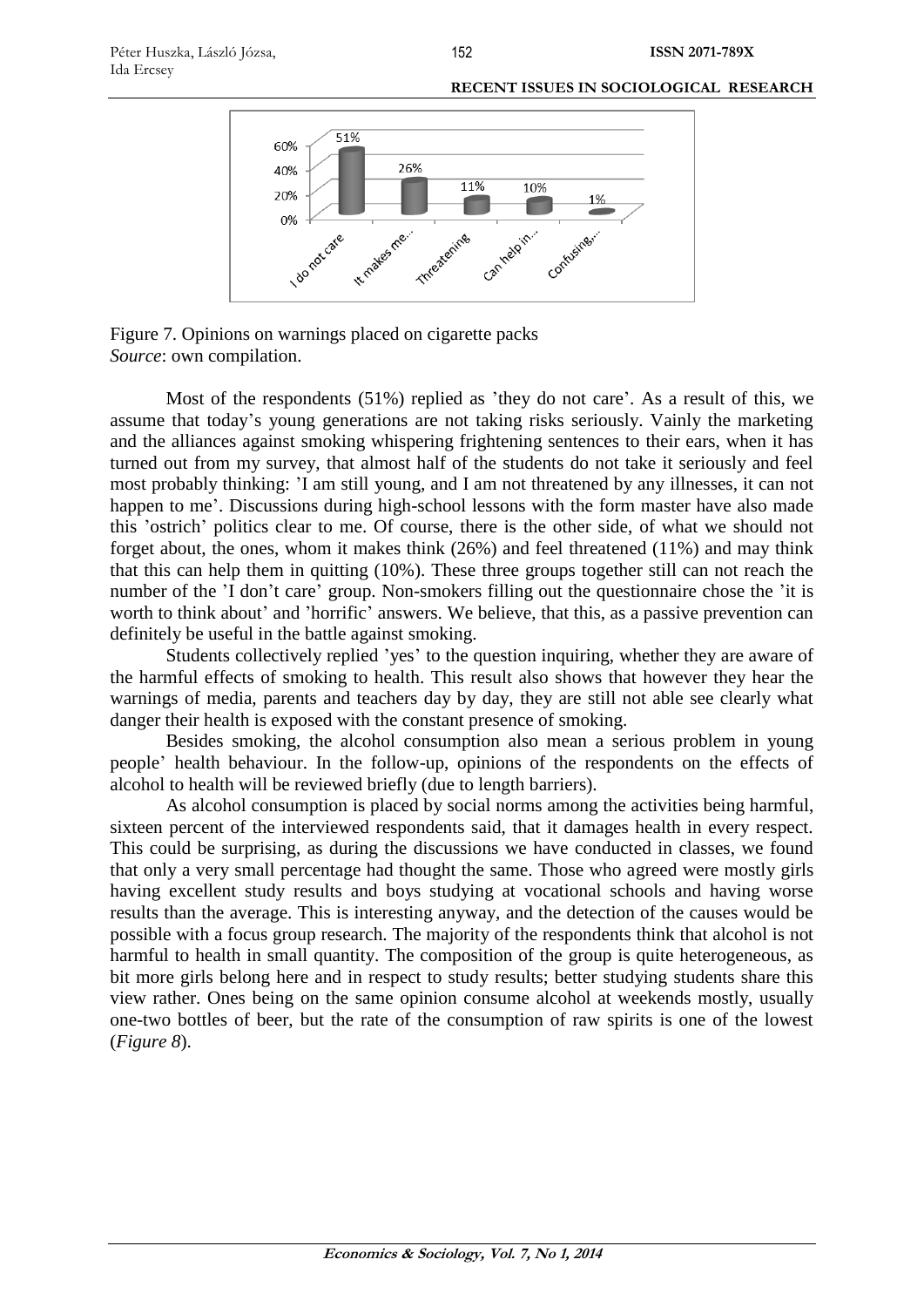

Figure 7. Opinions on warnings placed on cigarette packs *Source*: own compilation.

Most of the respondents (51%) replied as 'they do not care'. As a result of this, we assume that today's young generations are not taking risks seriously. Vainly the marketing and the alliances against smoking whispering frightening sentences to their ears, when it has turned out from my survey, that almost half of the students do not take it seriously and feel most probably thinking: 'I am still young, and I am not threatened by any illnesses, it can not happen to me'. Discussions during high-school lessons with the form master have also made this 'ostrich' politics clear to me. Of course, there is the other side, of what we should not forget about, the ones, whom it makes think (26%) and feel threatened (11%) and may think that this can help them in quitting (10%). These three groups together still can not reach the number of the 'I don't care' group. Non-smokers filling out the questionnaire chose the 'it is worth to think about' and 'horrific' answers. We believe, that this, as a passive prevention can definitely be useful in the battle against smoking.

Students collectively replied 'yes' to the question inquiring, whether they are aware of the harmful effects of smoking to health. This result also shows that however they hear the warnings of media, parents and teachers day by day, they are still not able see clearly what danger their health is exposed with the constant presence of smoking.

Besides smoking, the alcohol consumption also mean a serious problem in young people' health behaviour. In the follow-up, opinions of the respondents on the effects of alcohol to health will be reviewed briefly (due to length barriers).

As alcohol consumption is placed by social norms among the activities being harmful, sixteen percent of the interviewed respondents said, that it damages health in every respect. This could be surprising, as during the discussions we have conducted in classes, we found that only a very small percentage had thought the same. Those who agreed were mostly girls having excellent study results and boys studying at vocational schools and having worse results than the average. This is interesting anyway, and the detection of the causes would be possible with a focus group research. The majority of the respondents think that alcohol is not harmful to health in small quantity. The composition of the group is quite heterogeneous, as bit more girls belong here and in respect to study results; better studying students share this view rather. Ones being on the same opinion consume alcohol at weekends mostly, usually one-two bottles of beer, but the rate of the consumption of raw spirits is one of the lowest (*Figure 8*).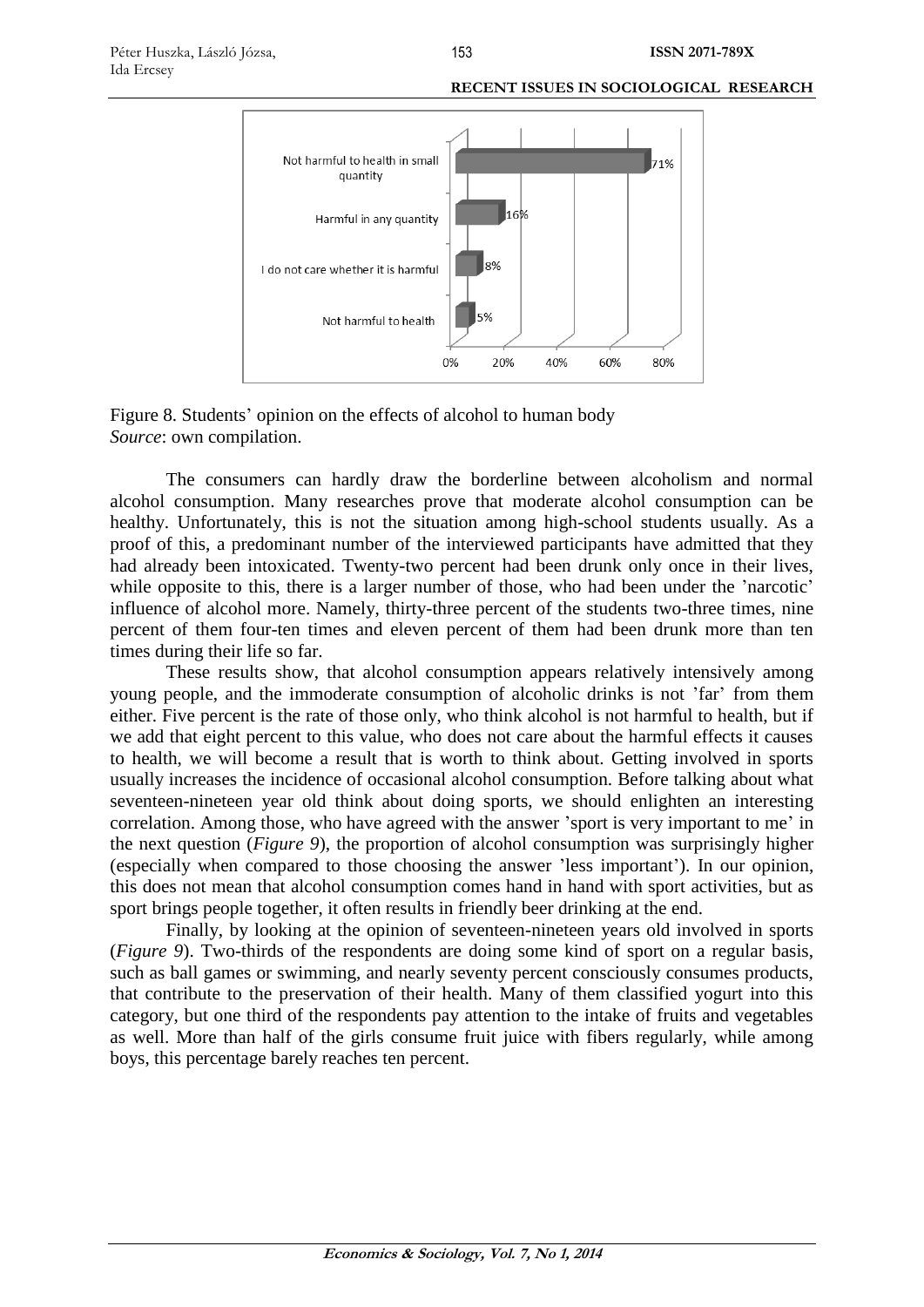

Figure 8. Students' opinion on the effects of alcohol to human body *Source*: own compilation.

The consumers can hardly draw the borderline between alcoholism and normal alcohol consumption. Many researches prove that moderate alcohol consumption can be healthy. Unfortunately, this is not the situation among high-school students usually. As a proof of this, a predominant number of the interviewed participants have admitted that they had already been intoxicated. Twenty-two percent had been drunk only once in their lives, while opposite to this, there is a larger number of those, who had been under the 'narcotic' influence of alcohol more. Namely, thirty-three percent of the students two-three times, nine percent of them four-ten times and eleven percent of them had been drunk more than ten times during their life so far.

These results show, that alcohol consumption appears relatively intensively among young people, and the immoderate consumption of alcoholic drinks is not 'far' from them either. Five percent is the rate of those only, who think alcohol is not harmful to health, but if we add that eight percent to this value, who does not care about the harmful effects it causes to health, we will become a result that is worth to think about. Getting involved in sports usually increases the incidence of occasional alcohol consumption. Before talking about what seventeen-nineteen year old think about doing sports, we should enlighten an interesting correlation. Among those, who have agreed with the answer 'sport is very important to me' in the next question (*Figure 9*), the proportion of alcohol consumption was surprisingly higher (especially when compared to those choosing the answer 'less important'). In our opinion, this does not mean that alcohol consumption comes hand in hand with sport activities, but as sport brings people together, it often results in friendly beer drinking at the end.

Finally, by looking at the opinion of seventeen-nineteen years old involved in sports (*Figure 9*). Two-thirds of the respondents are doing some kind of sport on a regular basis, such as ball games or swimming, and nearly seventy percent consciously consumes products, that contribute to the preservation of their health. Many of them classified yogurt into this category, but one third of the respondents pay attention to the intake of fruits and vegetables as well. More than half of the girls consume fruit juice with fibers regularly, while among boys, this percentage barely reaches ten percent.

**RECENT ISSUES IN SOCIOLOGICAL RESEARCH**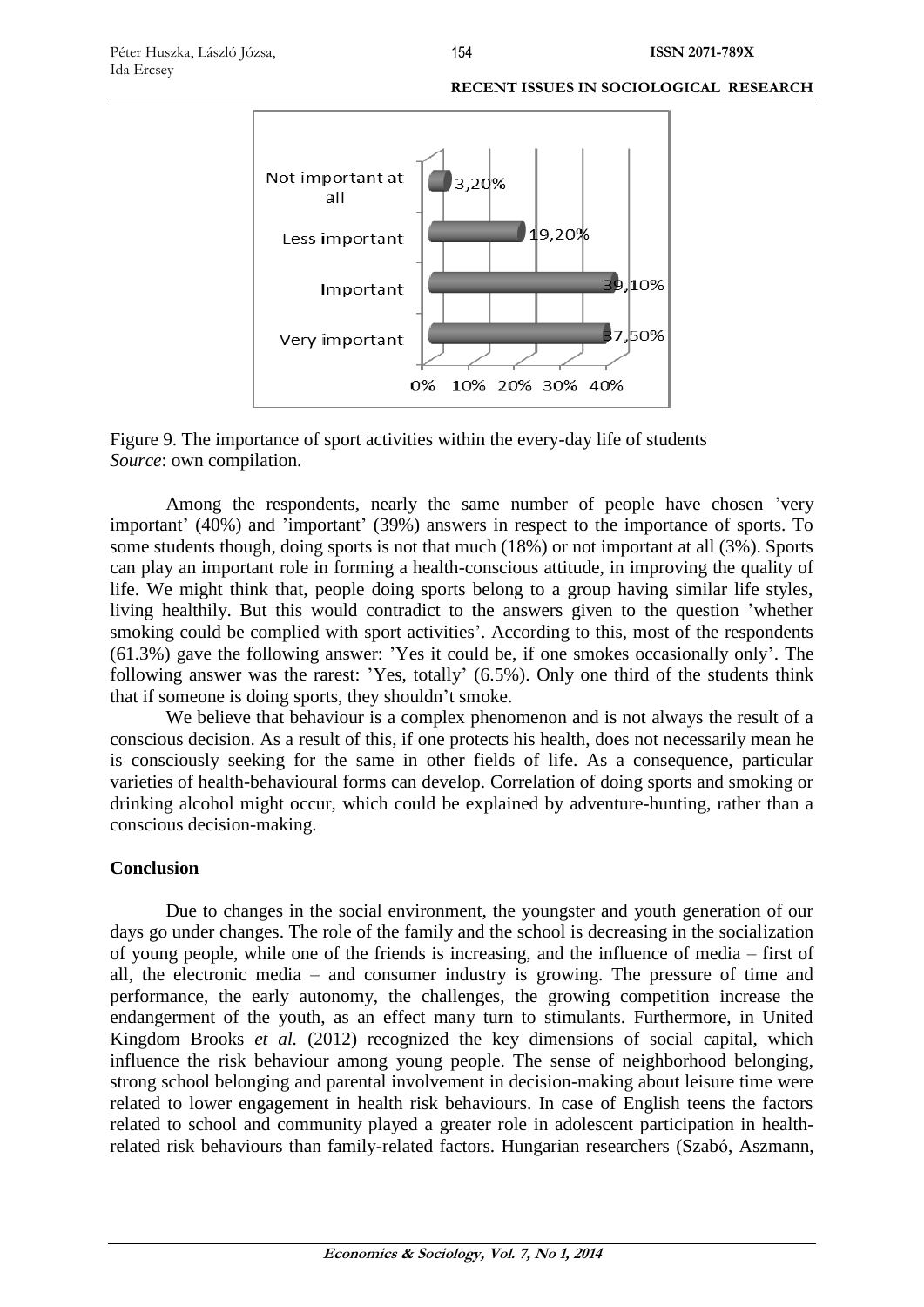

Figure 9. The importance of sport activities within the every-day life of students *Source*: own compilation.

Among the respondents, nearly the same number of people have chosen 'very important' (40%) and 'important' (39%) answers in respect to the importance of sports. To some students though, doing sports is not that much (18%) or not important at all (3%). Sports can play an important role in forming a health-conscious attitude, in improving the quality of life. We might think that, people doing sports belong to a group having similar life styles, living healthily. But this would contradict to the answers given to the question 'whether smoking could be complied with sport activities'. According to this, most of the respondents (61.3%) gave the following answer: 'Yes it could be, if one smokes occasionally only'. The following answer was the rarest: 'Yes, totally' (6.5%). Only one third of the students think that if someone is doing sports, they shouldn't smoke.

We believe that behaviour is a complex phenomenon and is not always the result of a conscious decision. As a result of this, if one protects his health, does not necessarily mean he is consciously seeking for the same in other fields of life. As a consequence, particular varieties of health-behavioural forms can develop. Correlation of doing sports and smoking or drinking alcohol might occur, which could be explained by adventure-hunting, rather than a conscious decision-making.

# **Conclusion**

Due to changes in the social environment, the youngster and youth generation of our days go under changes. The role of the family and the school is decreasing in the socialization of young people, while one of the friends is increasing, and the influence of media – first of all, the electronic media – and consumer industry is growing. The pressure of time and performance, the early autonomy, the challenges, the growing competition increase the endangerment of the youth, as an effect many turn to stimulants. Furthermore, in United Kingdom Brooks *et al.* (2012) recognized the key dimensions of social capital, which influence the risk behaviour among young people. The sense of neighborhood belonging, strong school belonging and parental involvement in decision-making about leisure time were related to lower engagement in health risk behaviours. In case of English teens the factors related to school and community played a greater role in adolescent participation in healthrelated risk behaviours than family-related factors. Hungarian researchers (Szabó, Aszmann,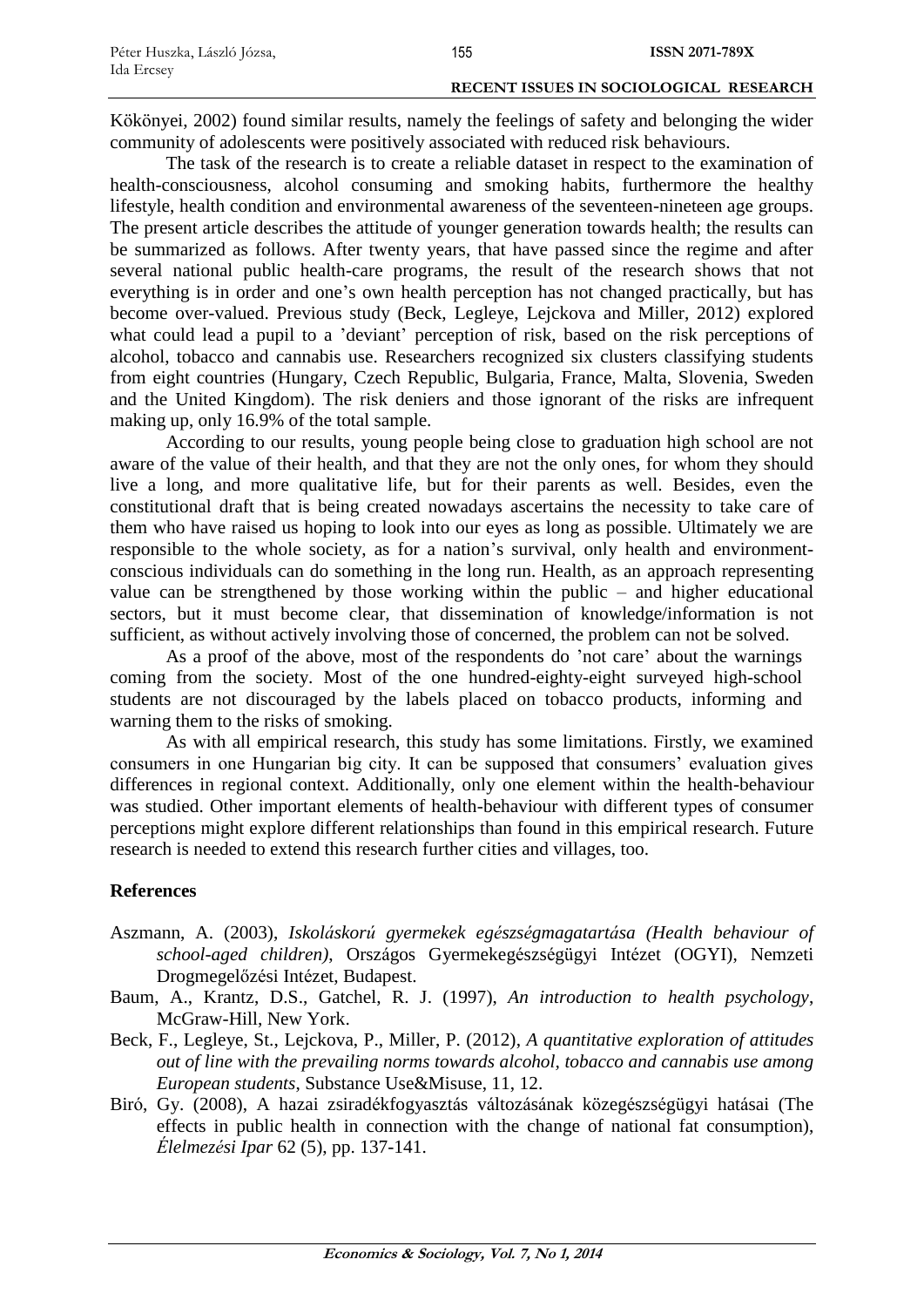| Péter Huszka, László Józsa, | 155 | ISSN 2071-789X |
|-----------------------------|-----|----------------|
| Ida Ercsey                  |     |                |

Kökönyei, 2002) found similar results, namely the feelings of safety and belonging the wider community of adolescents were positively associated with reduced risk behaviours.

The task of the research is to create a reliable dataset in respect to the examination of health-consciousness, alcohol consuming and smoking habits, furthermore the healthy lifestyle, health condition and environmental awareness of the seventeen-nineteen age groups. The present article describes the attitude of younger generation towards health; the results can be summarized as follows. After twenty years, that have passed since the regime and after several national public health-care programs, the result of the research shows that not everything is in order and one's own health perception has not changed practically, but has become over-valued. Previous study (Beck, Legleye, Lejckova and Miller, 2012) explored what could lead a pupil to a 'deviant' perception of risk, based on the risk perceptions of alcohol, tobacco and cannabis use. Researchers recognized six clusters classifying students from eight countries (Hungary, Czech Republic, Bulgaria, France, Malta, Slovenia, Sweden and the United Kingdom). The risk deniers and those ignorant of the risks are infrequent making up, only 16.9% of the total sample.

According to our results, young people being close to graduation high school are not aware of the value of their health, and that they are not the only ones, for whom they should live a long, and more qualitative life, but for their parents as well. Besides, even the constitutional draft that is being created nowadays ascertains the necessity to take care of them who have raised us hoping to look into our eyes as long as possible. Ultimately we are responsible to the whole society, as for a nation's survival, only health and environmentconscious individuals can do something in the long run. Health, as an approach representing value can be strengthened by those working within the public – and higher educational sectors, but it must become clear, that dissemination of knowledge/information is not sufficient, as without actively involving those of concerned, the problem can not be solved.

As a proof of the above, most of the respondents do 'not care' about the warnings coming from the society. Most of the one hundred-eighty-eight surveyed high-school students are not discouraged by the labels placed on tobacco products, informing and warning them to the risks of smoking.

As with all empirical research, this study has some limitations. Firstly, we examined consumers in one Hungarian big city. It can be supposed that consumers' evaluation gives differences in regional context. Additionally, only one element within the health-behaviour was studied. Other important elements of health-behaviour with different types of consumer perceptions might explore different relationships than found in this empirical research. Future research is needed to extend this research further cities and villages, too.

### **References**

- Aszmann, A. (2003), *Iskoláskorú gyermekek egészségmagatartása (Health behaviour of school-aged children)*, Országos Gyermekegészségügyi Intézet (OGYI), Nemzeti Drogmegelőzési Intézet, Budapest.
- Baum, A., Krantz, D.S., Gatchel, R. J. (1997), *An introduction to health psychology*, McGraw-Hill, New York.
- Beck, F., Legleye, St., Lejckova, P., Miller, P. (2012), *A quantitative exploration of attitudes out of line with the prevailing norms towards alcohol, tobacco and cannabis use among European students*, Substance Use&Misuse, 11, 12.
- Biró, Gy. (2008), A hazai zsiradékfogyasztás változásának közegészségügyi hatásai (The effects in public health in connection with the change of national fat consumption), *Élelmezési Ipar* 62 (5), pp. 137-141.